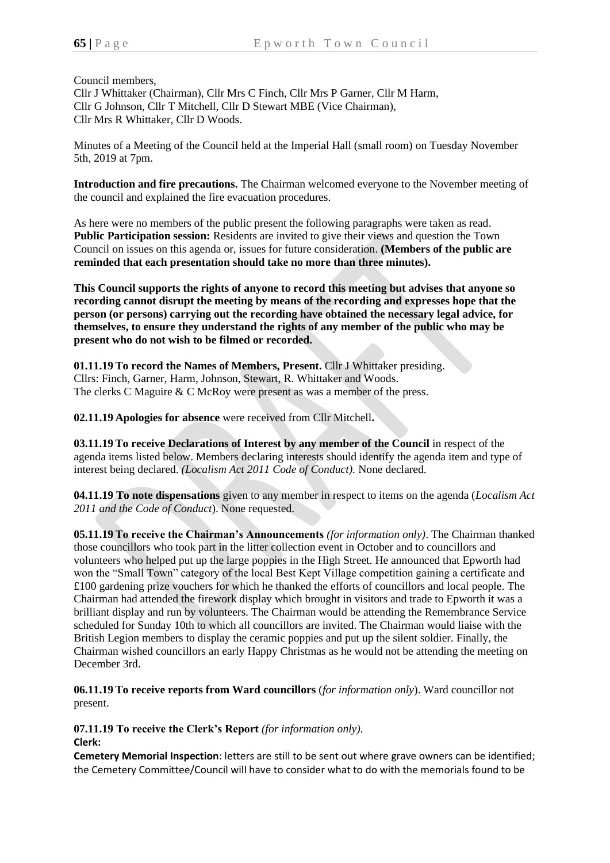Council members,

Cllr J Whittaker (Chairman), Cllr Mrs C Finch, Cllr Mrs P Garner, Cllr M Harm, Cllr G Johnson, Cllr T Mitchell, Cllr D Stewart MBE (Vice Chairman), Cllr Mrs R Whittaker, Cllr D Woods.

Minutes of a Meeting of the Council held at the Imperial Hall (small room) on Tuesday November 5th, 2019 at 7pm.

**Introduction and fire precautions.** The Chairman welcomed everyone to the November meeting of the council and explained the fire evacuation procedures.

As here were no members of the public present the following paragraphs were taken as read. **Public Participation session:** Residents are invited to give their views and question the Town Council on issues on this agenda or, issues for future consideration. **(Members of the public are reminded that each presentation should take no more than three minutes).**

**This Council supports the rights of anyone to record this meeting but advises that anyone so recording cannot disrupt the meeting by means of the recording and expresses hope that the person (or persons) carrying out the recording have obtained the necessary legal advice, for themselves, to ensure they understand the rights of any member of the public who may be present who do not wish to be filmed or recorded.**

**01.11.19 To record the Names of Members, Present.** Cllr J Whittaker presiding. Cllrs: Finch, Garner, Harm, Johnson, Stewart, R. Whittaker and Woods. The clerks C Maguire & C McRoy were present as was a member of the press.

**02.11.19 Apologies for absence** were received from Cllr Mitchell**.**

**03.11.19 To receive Declarations of Interest by any member of the Council** in respect of the agenda items listed below. Members declaring interests should identify the agenda item and type of interest being declared. *(Localism Act 2011 Code of Conduct).* None declared.

**04.11.19 To note dispensations** given to any member in respect to items on the agenda (*Localism Act 2011 and the Code of Conduct*). None requested.

**05.11.19 To receive the Chairman's Announcements** *(for information only)*. The Chairman thanked those councillors who took part in the litter collection event in October and to councillors and volunteers who helped put up the large poppies in the High Street. He announced that Epworth had won the "Small Town" category of the local Best Kept Village competition gaining a certificate and £100 gardening prize vouchers for which he thanked the efforts of councillors and local people. The Chairman had attended the firework display which brought in visitors and trade to Epworth it was a brilliant display and run by volunteers. The Chairman would be attending the Remembrance Service scheduled for Sunday 10th to which all councillors are invited. The Chairman would liaise with the British Legion members to display the ceramic poppies and put up the silent soldier. Finally, the Chairman wished councillors an early Happy Christmas as he would not be attending the meeting on December 3rd.

**06.11.19 To receive reports from Ward councillors** (*for information only*). Ward councillor not present.

**07.11.19 To receive the Clerk's Report** *(for information only).* **Clerk:**

**Cemetery Memorial Inspection**: letters are still to be sent out where grave owners can be identified; the Cemetery Committee/Council will have to consider what to do with the memorials found to be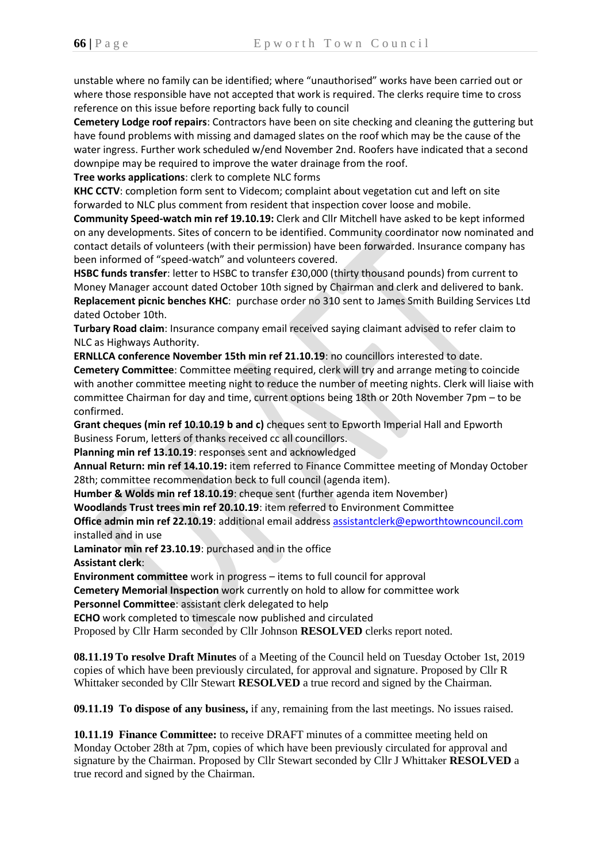unstable where no family can be identified; where "unauthorised" works have been carried out or where those responsible have not accepted that work is required. The clerks require time to cross reference on this issue before reporting back fully to council

**Cemetery Lodge roof repairs**: Contractors have been on site checking and cleaning the guttering but have found problems with missing and damaged slates on the roof which may be the cause of the water ingress. Further work scheduled w/end November 2nd. Roofers have indicated that a second downpipe may be required to improve the water drainage from the roof.

**Tree works applications**: clerk to complete NLC forms

**KHC CCTV**: completion form sent to Videcom; complaint about vegetation cut and left on site forwarded to NLC plus comment from resident that inspection cover loose and mobile.

**Community Speed-watch min ref 19.10.19:** Clerk and Cllr Mitchell have asked to be kept informed on any developments. Sites of concern to be identified. Community coordinator now nominated and contact details of volunteers (with their permission) have been forwarded. Insurance company has been informed of "speed-watch" and volunteers covered.

**HSBC funds transfer**: letter to HSBC to transfer £30,000 (thirty thousand pounds) from current to Money Manager account dated October 10th signed by Chairman and clerk and delivered to bank. **Replacement picnic benches KHC**: purchase order no 310 sent to James Smith Building Services Ltd dated October 10th.

**Turbary Road claim**: Insurance company email received saying claimant advised to refer claim to NLC as Highways Authority.

**ERNLLCA conference November 15th min ref 21.10.19**: no councillors interested to date.

**Cemetery Committee**: Committee meeting required, clerk will try and arrange meting to coincide with another committee meeting night to reduce the number of meeting nights. Clerk will liaise with committee Chairman for day and time, current options being 18th or 20th November 7pm – to be confirmed.

**Grant cheques (min ref 10.10.19 b and c)** cheques sent to Epworth Imperial Hall and Epworth Business Forum, letters of thanks received cc all councillors.

**Planning min ref 13.10.19**: responses sent and acknowledged

**Annual Return: min ref 14.10.19:** item referred to Finance Committee meeting of Monday October 28th; committee recommendation beck to full council (agenda item).

**Humber & Wolds min ref 18.10.19**: cheque sent (further agenda item November)

**Woodlands Trust trees min ref 20.10.19**: item referred to Environment Committee

**Office admin min ref 22.10.19**: additional email address [assistantclerk@epworthtowncouncil.com](mailto:assistantclerk@epworthtowncouncil.com)  installed and in use

**Laminator min ref 23.10.19**: purchased and in the office **Assistant clerk**:

**Environment committee** work in progress – items to full council for approval

**Cemetery Memorial Inspection** work currently on hold to allow for committee work

**Personnel Committee**: assistant clerk delegated to help

**ECHO** work completed to timescale now published and circulated

Proposed by Cllr Harm seconded by Cllr Johnson **RESOLVED** clerks report noted.

**08.11.19 To resolve Draft Minutes** of a Meeting of the Council held on Tuesday October 1st, 2019 copies of which have been previously circulated, for approval and signature. Proposed by Cllr R Whittaker seconded by Cllr Stewart **RESOLVED** a true record and signed by the Chairman.

**09.11.19 To dispose of any business,** if any, remaining from the last meetings. No issues raised.

**10.11.19 Finance Committee:** to receive DRAFT minutes of a committee meeting held on Monday October 28th at 7pm, copies of which have been previously circulated for approval and signature by the Chairman. Proposed by Cllr Stewart seconded by Cllr J Whittaker **RESOLVED** a true record and signed by the Chairman.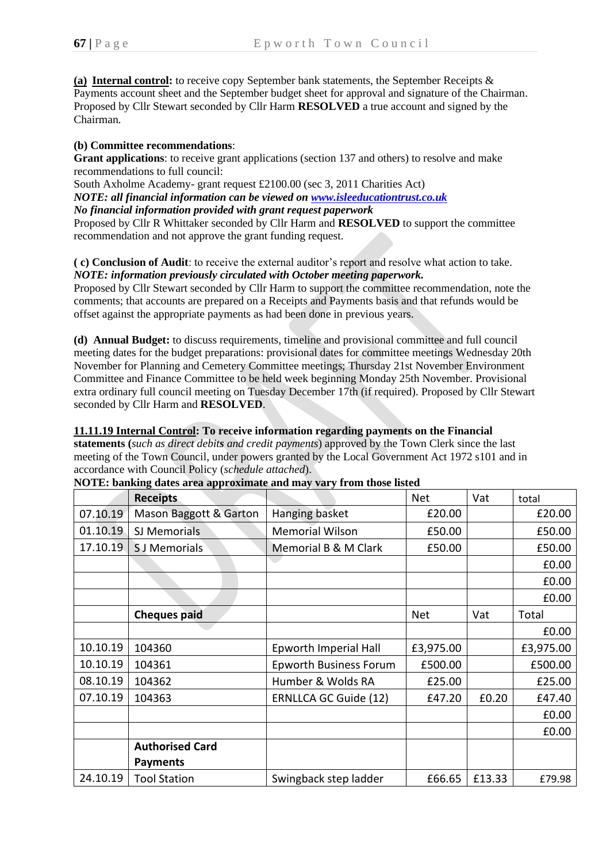**(a) Internal control:** to receive copy September bank statements, the September Receipts & Payments account sheet and the September budget sheet for approval and signature of the Chairman. Proposed by Cllr Stewart seconded by Cllr Harm **RESOLVED** a true account and signed by the Chairman.

## **(b) Committee recommendations**:

**Grant applications**: to receive grant applications (section 137 and others) to resolve and make recommendations to full council:

South Axholme Academy- grant request £2100.00 (sec 3, 2011 Charities Act)

*NOTE: all financial information can be viewed on [www.isleeducationtrust.co.uk](http://www.isleeducationtrust.co.uk/)*

*No financial information provided with grant request paperwork*

Proposed by Cllr R Whittaker seconded by Cllr Harm and **RESOLVED** to support the committee recommendation and not approve the grant funding request.

**( c) Conclusion of Audit**: to receive the external auditor's report and resolve what action to take. *NOTE: information previously circulated with October meeting paperwork.*

Proposed by Cllr Stewart seconded by Cllr Harm to support the committee recommendation, note the comments; that accounts are prepared on a Receipts and Payments basis and that refunds would be offset against the appropriate payments as had been done in previous years.

**(d) Annual Budget:** to discuss requirements, timeline and provisional committee and full council meeting dates for the budget preparations: provisional dates for committee meetings Wednesday 20th November for Planning and Cemetery Committee meetings; Thursday 21st November Environment Committee and Finance Committee to be held week beginning Monday 25th November. Provisional extra ordinary full council meeting on Tuesday December 17th (if required). Proposed by Cllr Stewart seconded by Cllr Harm and **RESOLVED**.

## **11.11.19 Internal Control: To receive information regarding payments on the Financial**

**statements (***such as direct debits and credit payments*) approved by the Town Clerk since the last meeting of the Town Council, under powers granted by the Local Government Act 1972 s101 and in accordance with Council Policy (*schedule attached*).

|          | <b>Receipts</b>        |                               | <b>Net</b> | Vat    | total     |
|----------|------------------------|-------------------------------|------------|--------|-----------|
| 07.10.19 | Mason Baggott & Garton | Hanging basket                | £20.00     |        | £20.00    |
| 01.10.19 | SJ Memorials           | <b>Memorial Wilson</b>        | £50.00     |        | £50.00    |
| 17.10.19 | S J Memorials          | Memorial B & M Clark          | £50.00     |        | £50.00    |
|          |                        |                               |            |        | £0.00     |
|          |                        |                               |            |        | £0.00     |
|          |                        |                               |            |        | £0.00     |
|          | <b>Cheques paid</b>    |                               | <b>Net</b> | Vat    | Total     |
|          |                        |                               |            |        | £0.00     |
| 10.10.19 | 104360                 | Epworth Imperial Hall         | £3,975.00  |        | £3,975.00 |
| 10.10.19 | 104361                 | <b>Epworth Business Forum</b> | £500.00    |        | £500.00   |
| 08.10.19 | 104362                 | Humber & Wolds RA             | £25.00     |        | £25.00    |
| 07.10.19 | 104363                 | ERNLLCA GC Guide (12)         | £47.20     | £0.20  | £47.40    |
|          |                        |                               |            |        | £0.00     |
|          |                        |                               |            |        | £0.00     |
|          | <b>Authorised Card</b> |                               |            |        |           |
|          | <b>Payments</b>        |                               |            |        |           |
| 24.10.19 | <b>Tool Station</b>    | Swingback step ladder         | £66.65     | £13.33 | £79.98    |

**NOTE: banking dates area approximate and may vary from those listed**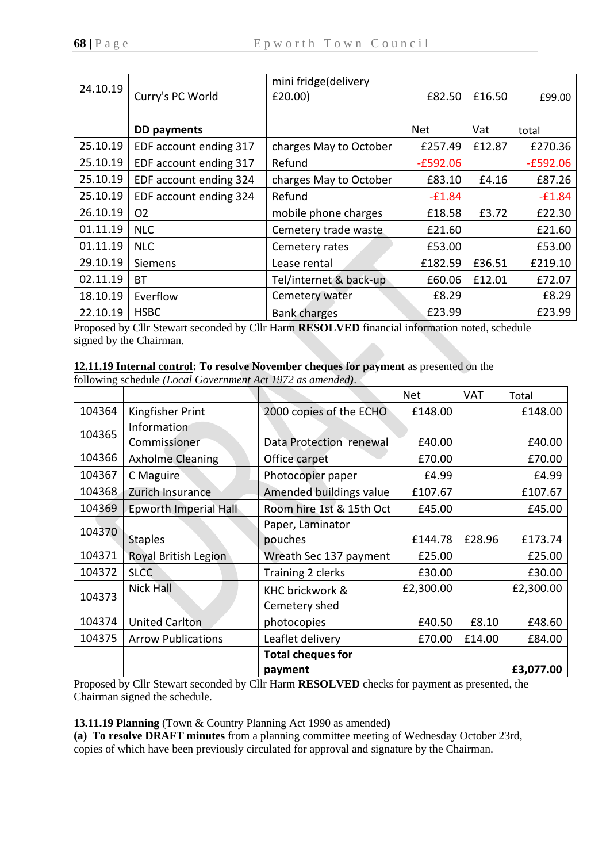| 24.10.19 |                        | mini fridge(delivery   |            |        |            |
|----------|------------------------|------------------------|------------|--------|------------|
|          | Curry's PC World       | £20.00)                | £82.50     | £16.50 | £99.00     |
|          |                        |                        |            |        |            |
|          | <b>DD</b> payments     |                        | <b>Net</b> | Vat    | total      |
| 25.10.19 | EDF account ending 317 | charges May to October | £257.49    | £12.87 | £270.36    |
| 25.10.19 | EDF account ending 317 | Refund                 | $-E592.06$ |        | $-E592.06$ |
| 25.10.19 | EDF account ending 324 | charges May to October | £83.10     | £4.16  | £87.26     |
| 25.10.19 | EDF account ending 324 | Refund                 | $-£1.84$   |        | $-£1.84$   |
| 26.10.19 | O <sub>2</sub>         | mobile phone charges   | £18.58     | £3.72  | £22.30     |
| 01.11.19 | <b>NLC</b>             | Cemetery trade waste   | £21.60     |        | £21.60     |
| 01.11.19 | <b>NLC</b>             | Cemetery rates         | £53.00     |        | £53.00     |
| 29.10.19 | <b>Siemens</b>         | Lease rental           | £182.59    | £36.51 | £219.10    |
| 02.11.19 | BТ                     | Tel/internet & back-up | £60.06     | £12.01 | £72.07     |
| 18.10.19 | Everflow               | Cemetery water         | £8.29      |        | £8.29      |
| 22.10.19 | <b>HSBC</b>            | <b>Bank charges</b>    | £23.99     |        | £23.99     |

Proposed by Cllr Stewart seconded by Cllr Harm **RESOLVED** financial information noted, schedule signed by the Chairman.

## **12.11.19 Internal control: To resolve November cheques for payment** as presented on the

following schedule *(Local Government Act 1972 as amended).*

|        |                           |                          | <b>Net</b> | <b>VAT</b> | Total     |
|--------|---------------------------|--------------------------|------------|------------|-----------|
| 104364 | Kingfisher Print          | 2000 copies of the ECHO  | £148.00    |            | £148.00   |
| 104365 | Information               |                          |            |            |           |
|        | Commissioner              | Data Protection renewal  | £40.00     |            | £40.00    |
| 104366 | <b>Axholme Cleaning</b>   | Office carpet            | £70.00     |            | £70.00    |
| 104367 | C Maguire                 | Photocopier paper        | £4.99      |            | £4.99     |
| 104368 | Zurich Insurance          | Amended buildings value  | £107.67    |            | £107.67   |
| 104369 | Epworth Imperial Hall     | Room hire 1st & 15th Oct | £45.00     |            | £45.00    |
| 104370 |                           | Paper, Laminator         |            |            |           |
|        | <b>Staples</b>            | pouches                  | £144.78    | £28.96     | £173.74   |
| 104371 | Royal British Legion      | Wreath Sec 137 payment   | £25.00     |            | £25.00    |
| 104372 | <b>SLCC</b>               | Training 2 clerks        | £30.00     |            | £30.00    |
| 104373 | <b>Nick Hall</b>          | KHC brickwork &          | £2,300.00  |            | £2,300.00 |
|        |                           | Cemetery shed            |            |            |           |
| 104374 | <b>United Carlton</b>     | photocopies              | £40.50     | £8.10      | £48.60    |
| 104375 | <b>Arrow Publications</b> | Leaflet delivery         | £70.00     | £14.00     | £84.00    |
|        |                           | <b>Total cheques for</b> |            |            |           |
|        |                           | payment                  |            |            | £3,077.00 |

Proposed by Cllr Stewart seconded by Cllr Harm **RESOLVED** checks for payment as presented, the Chairman signed the schedule.

**13.11.19 Planning** (Town & Country Planning Act 1990 as amended**)**

**(a) To resolve DRAFT minutes** from a planning committee meeting of Wednesday October 23rd, copies of which have been previously circulated for approval and signature by the Chairman.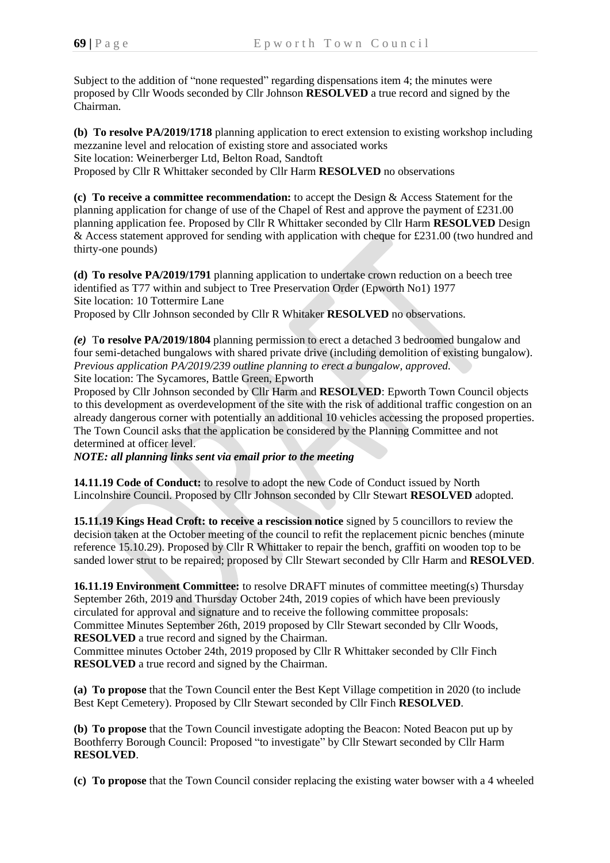Subject to the addition of "none requested" regarding dispensations item 4; the minutes were proposed by Cllr Woods seconded by Cllr Johnson **RESOLVED** a true record and signed by the Chairman.

**(b) To resolve PA/2019/1718** planning application to erect extension to existing workshop including mezzanine level and relocation of existing store and associated works Site location: Weinerberger Ltd, Belton Road, Sandtoft Proposed by Cllr R Whittaker seconded by Cllr Harm **RESOLVED** no observations

**(c) To receive a committee recommendation:** to accept the Design & Access Statement for the planning application for change of use of the Chapel of Rest and approve the payment of £231.00 planning application fee. Proposed by Cllr R Whittaker seconded by Cllr Harm **RESOLVED** Design & Access statement approved for sending with application with cheque for £231.00 (two hundred and thirty-one pounds)

**(d) To resolve PA/2019/1791** planning application to undertake crown reduction on a beech tree identified as T77 within and subject to Tree Preservation Order (Epworth No1) 1977 Site location: 10 Tottermire Lane Proposed by Cllr Johnson seconded by Cllr R Whitaker **RESOLVED** no observations.

*(e)* T**o resolve PA/2019/1804** planning permission to erect a detached 3 bedroomed bungalow and four semi-detached bungalows with shared private drive (including demolition of existing bungalow). *Previous application PA/2019/239 outline planning to erect a bungalow, approved.*  Site location: The Sycamores, Battle Green, Epworth

Proposed by Cllr Johnson seconded by Cllr Harm and **RESOLVED**: Epworth Town Council objects to this development as overdevelopment of the site with the risk of additional traffic congestion on an already dangerous corner with potentially an additional 10 vehicles accessing the proposed properties. The Town Council asks that the application be considered by the Planning Committee and not determined at officer level.

*NOTE: all planning links sent via email prior to the meeting*

**14.11.19 Code of Conduct:** to resolve to adopt the new Code of Conduct issued by North Lincolnshire Council. Proposed by Cllr Johnson seconded by Cllr Stewart **RESOLVED** adopted.

**15.11.19 Kings Head Croft: to receive a rescission notice** signed by 5 councillors to review the decision taken at the October meeting of the council to refit the replacement picnic benches (minute reference 15.10.29). Proposed by Cllr R Whittaker to repair the bench, graffiti on wooden top to be sanded lower strut to be repaired; proposed by Cllr Stewart seconded by Cllr Harm and **RESOLVED**.

**16.11.19 Environment Committee:** to resolve DRAFT minutes of committee meeting(s) Thursday September 26th, 2019 and Thursday October 24th, 2019 copies of which have been previously circulated for approval and signature and to receive the following committee proposals: Committee Minutes September 26th, 2019 proposed by Cllr Stewart seconded by Cllr Woods, **RESOLVED** a true record and signed by the Chairman.

Committee minutes October 24th, 2019 proposed by Cllr R Whittaker seconded by Cllr Finch **RESOLVED** a true record and signed by the Chairman.

**(a) To propose** that the Town Council enter the Best Kept Village competition in 2020 (to include Best Kept Cemetery). Proposed by Cllr Stewart seconded by Cllr Finch **RESOLVED**.

**(b) To propose** that the Town Council investigate adopting the Beacon: Noted Beacon put up by Boothferry Borough Council: Proposed "to investigate" by Cllr Stewart seconded by Cllr Harm **RESOLVED**.

**(c) To propose** that the Town Council consider replacing the existing water bowser with a 4 wheeled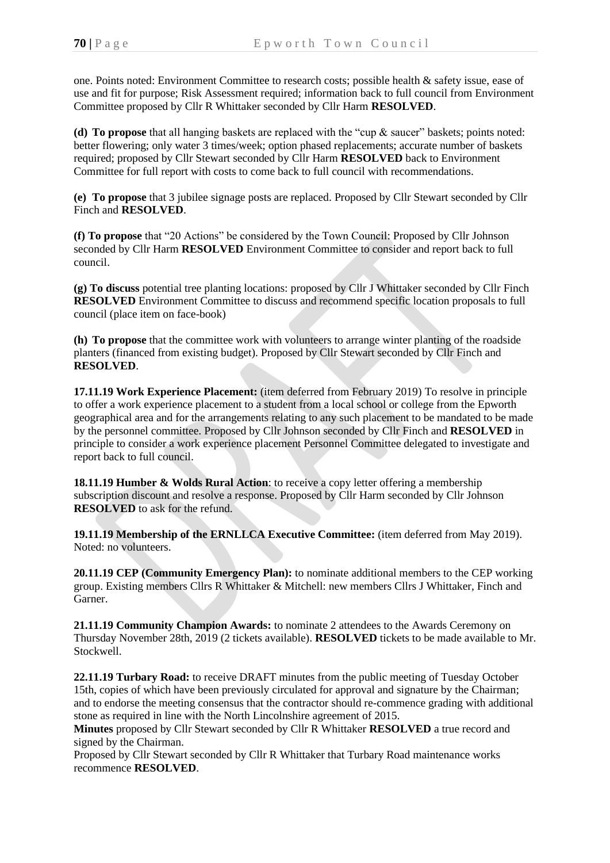one. Points noted: Environment Committee to research costs; possible health & safety issue, ease of use and fit for purpose; Risk Assessment required; information back to full council from Environment Committee proposed by Cllr R Whittaker seconded by Cllr Harm **RESOLVED**.

**(d) To propose** that all hanging baskets are replaced with the "cup & saucer" baskets; points noted: better flowering; only water 3 times/week; option phased replacements; accurate number of baskets required; proposed by Cllr Stewart seconded by Cllr Harm **RESOLVED** back to Environment Committee for full report with costs to come back to full council with recommendations.

**(e) To propose** that 3 jubilee signage posts are replaced. Proposed by Cllr Stewart seconded by Cllr Finch and **RESOLVED**.

**(f) To propose** that "20 Actions" be considered by the Town Council: Proposed by Cllr Johnson seconded by Cllr Harm **RESOLVED** Environment Committee to consider and report back to full council.

**(g) To discuss** potential tree planting locations: proposed by Cllr J Whittaker seconded by Cllr Finch **RESOLVED** Environment Committee to discuss and recommend specific location proposals to full council (place item on face-book)

**(h) To propose** that the committee work with volunteers to arrange winter planting of the roadside planters (financed from existing budget). Proposed by Cllr Stewart seconded by Cllr Finch and **RESOLVED**.

**17.11.19 Work Experience Placement:** (item deferred from February 2019) To resolve in principle to offer a work experience placement to a student from a local school or college from the Epworth geographical area and for the arrangements relating to any such placement to be mandated to be made by the personnel committee. Proposed by Cllr Johnson seconded by Cllr Finch and **RESOLVED** in principle to consider a work experience placement Personnel Committee delegated to investigate and report back to full council.

**18.11.19 Humber & Wolds Rural Action**: to receive a copy letter offering a membership subscription discount and resolve a response. Proposed by Cllr Harm seconded by Cllr Johnson **RESOLVED** to ask for the refund.

**19.11.19 Membership of the ERNLLCA Executive Committee:** (item deferred from May 2019). Noted: no volunteers.

**20.11.19 CEP (Community Emergency Plan):** to nominate additional members to the CEP working group. Existing members Cllrs R Whittaker & Mitchell: new members Cllrs J Whittaker, Finch and Garner.

**21.11.19 Community Champion Awards:** to nominate 2 attendees to the Awards Ceremony on Thursday November 28th, 2019 (2 tickets available). **RESOLVED** tickets to be made available to Mr. Stockwell.

**22.11.19 Turbary Road:** to receive DRAFT minutes from the public meeting of Tuesday October 15th, copies of which have been previously circulated for approval and signature by the Chairman; and to endorse the meeting consensus that the contractor should re-commence grading with additional stone as required in line with the North Lincolnshire agreement of 2015.

**Minutes** proposed by Cllr Stewart seconded by Cllr R Whittaker **RESOLVED** a true record and signed by the Chairman.

Proposed by Cllr Stewart seconded by Cllr R Whittaker that Turbary Road maintenance works recommence **RESOLVED**.